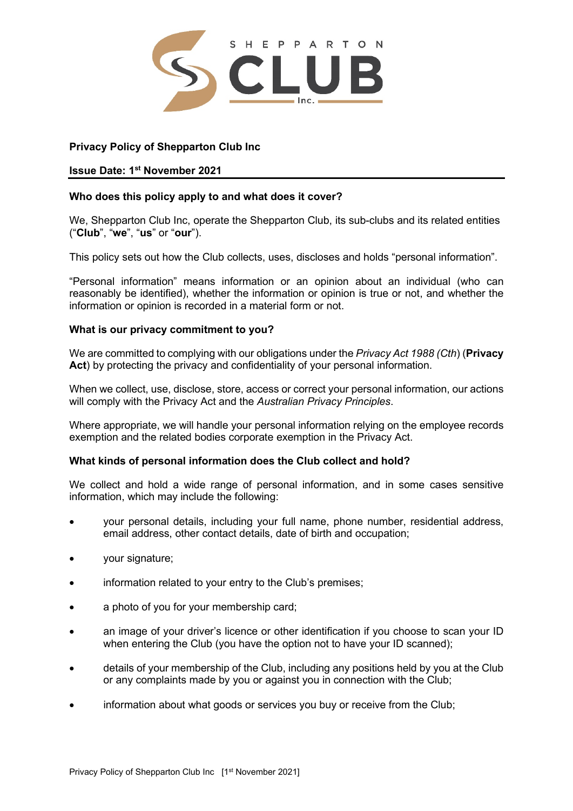

# **Privacy Policy of Shepparton Club Inc**

# **Issue Date: 1 st November 2021**

## **Who does this policy apply to and what does it cover?**

We, Shepparton Club Inc, operate the Shepparton Club, its sub-clubs and its related entities ("**Club**", "**we**", "**us**" or "**our**").

This policy sets out how the Club collects, uses, discloses and holds "personal information".

"Personal information" means information or an opinion about an individual (who can reasonably be identified), whether the information or opinion is true or not, and whether the information or opinion is recorded in a material form or not.

## **What is our privacy commitment to you?**

We are committed to complying with our obligations under the *Privacy Act 1988 (Cth*) (**Privacy Act**) by protecting the privacy and confidentiality of your personal information.

When we collect, use, disclose, store, access or correct your personal information, our actions will comply with the Privacy Act and the *Australian Privacy Principles*.

Where appropriate, we will handle your personal information relying on the employee records exemption and the related bodies corporate exemption in the Privacy Act.

### **What kinds of personal information does the Club collect and hold?**

We collect and hold a wide range of personal information, and in some cases sensitive information, which may include the following:

- your personal details, including your full name, phone number, residential address, email address, other contact details, date of birth and occupation;
- your signature;
- information related to your entry to the Club's premises;
- a photo of you for your membership card;
- an image of your driver's licence or other identification if you choose to scan your ID when entering the Club (you have the option not to have your ID scanned);
- details of your membership of the Club, including any positions held by you at the Club or any complaints made by you or against you in connection with the Club;
- information about what goods or services you buy or receive from the Club;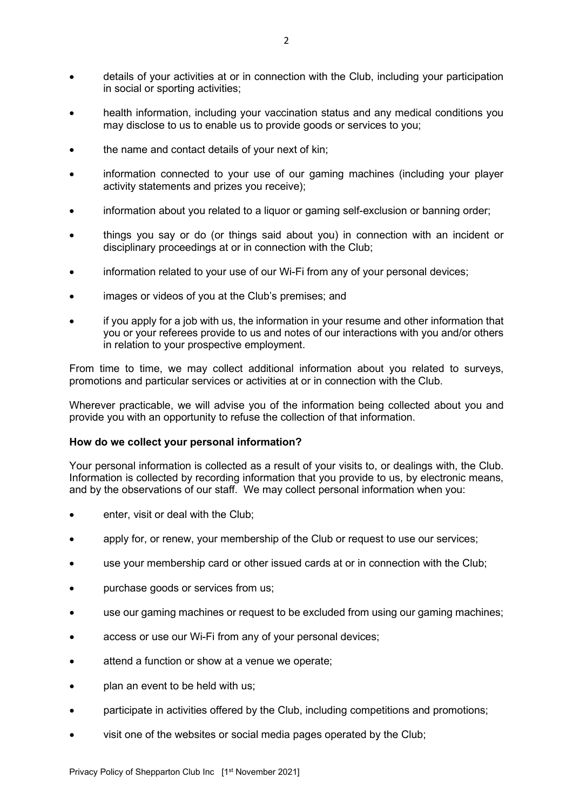- details of your activities at or in connection with the Club, including your participation in social or sporting activities;
- health information, including your vaccination status and any medical conditions you may disclose to us to enable us to provide goods or services to you;
- the name and contact details of your next of kin;
- information connected to your use of our gaming machines (including your player activity statements and prizes you receive);
- information about you related to a liquor or gaming self-exclusion or banning order;
- things you say or do (or things said about you) in connection with an incident or disciplinary proceedings at or in connection with the Club;
- information related to your use of our Wi-Fi from any of your personal devices;
- images or videos of you at the Club's premises; and
- if you apply for a job with us, the information in your resume and other information that you or your referees provide to us and notes of our interactions with you and/or others in relation to your prospective employment.

From time to time, we may collect additional information about you related to surveys, promotions and particular services or activities at or in connection with the Club.

Wherever practicable, we will advise you of the information being collected about you and provide you with an opportunity to refuse the collection of that information.

### **How do we collect your personal information?**

Your personal information is collected as a result of your visits to, or dealings with, the Club. Information is collected by recording information that you provide to us, by electronic means, and by the observations of our staff. We may collect personal information when you:

- enter, visit or deal with the Club;
- apply for, or renew, your membership of the Club or request to use our services;
- use your membership card or other issued cards at or in connection with the Club;
- purchase goods or services from us;
- use our gaming machines or request to be excluded from using our gaming machines;
- access or use our Wi-Fi from any of your personal devices;
- attend a function or show at a venue we operate;
- plan an event to be held with us;
- participate in activities offered by the Club, including competitions and promotions;
- visit one of the websites or social media pages operated by the Club;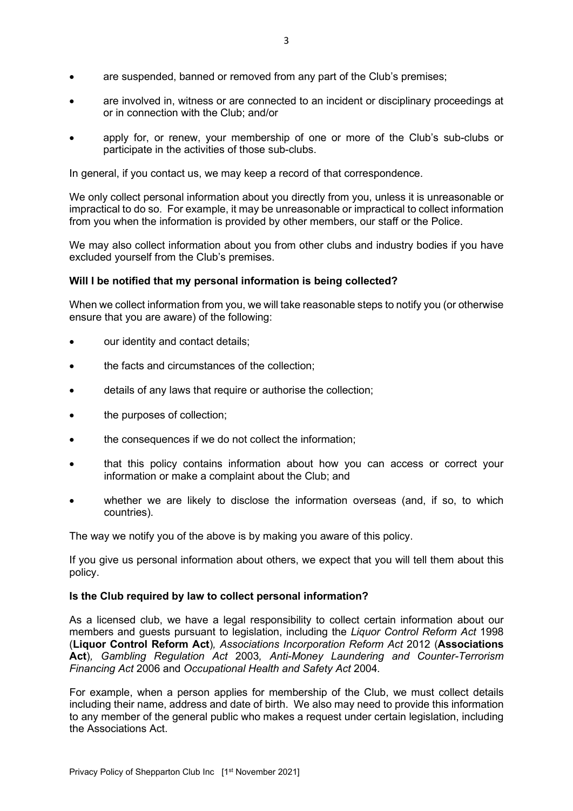- are suspended, banned or removed from any part of the Club's premises;
- are involved in, witness or are connected to an incident or disciplinary proceedings at or in connection with the Club; and/or
- apply for, or renew, your membership of one or more of the Club's sub-clubs or participate in the activities of those sub-clubs.

In general, if you contact us, we may keep a record of that correspondence.

We only collect personal information about you directly from you, unless it is unreasonable or impractical to do so. For example, it may be unreasonable or impractical to collect information from you when the information is provided by other members, our staff or the Police.

We may also collect information about you from other clubs and industry bodies if you have excluded yourself from the Club's premises.

# **Will I be notified that my personal information is being collected?**

When we collect information from you, we will take reasonable steps to notify you (or otherwise ensure that you are aware) of the following:

- our identity and contact details;
- the facts and circumstances of the collection;
- details of any laws that require or authorise the collection;
- the purposes of collection;
- the consequences if we do not collect the information;
- that this policy contains information about how you can access or correct your information or make a complaint about the Club; and
- whether we are likely to disclose the information overseas (and, if so, to which countries).

The way we notify you of the above is by making you aware of this policy.

If you give us personal information about others, we expect that you will tell them about this policy.

# **Is the Club required by law to collect personal information?**

As a licensed club, we have a legal responsibility to collect certain information about our members and guests pursuant to legislation, including the *Liquor Control Reform Act* 1998 (**Liquor Control Reform Act**)*, Associations Incorporation Reform Act* 2012 (**Associations Act**)*, Gambling Regulation Act* 2003*, Anti-Money Laundering and Counter-Terrorism Financing Act* 2006 and *Occupational Health and Safety Act* 2004*.*

For example, when a person applies for membership of the Club, we must collect details including their name, address and date of birth. We also may need to provide this information to any member of the general public who makes a request under certain legislation, including the Associations Act.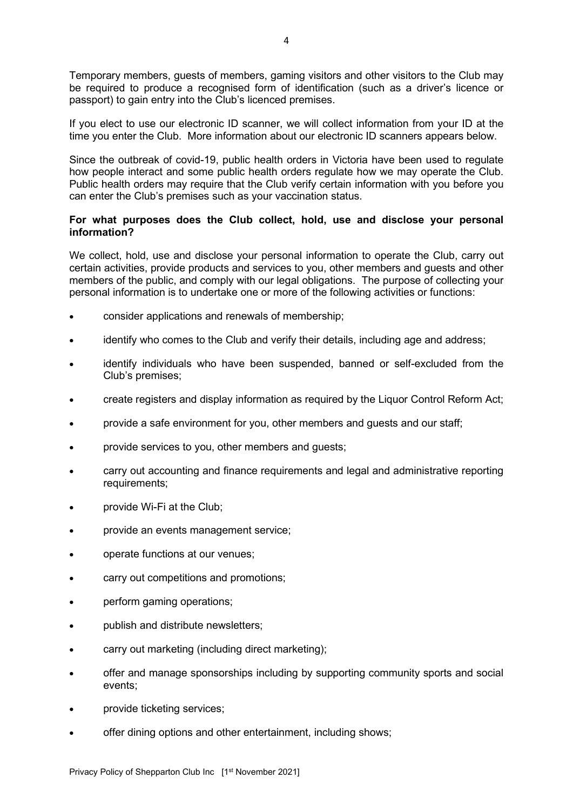Temporary members, guests of members, gaming visitors and other visitors to the Club may be required to produce a recognised form of identification (such as a driver's licence or passport) to gain entry into the Club's licenced premises.

If you elect to use our electronic ID scanner, we will collect information from your ID at the time you enter the Club. More information about our electronic ID scanners appears below.

Since the outbreak of covid-19, public health orders in Victoria have been used to regulate how people interact and some public health orders regulate how we may operate the Club. Public health orders may require that the Club verify certain information with you before you can enter the Club's premises such as your vaccination status.

## **For what purposes does the Club collect, hold, use and disclose your personal information?**

We collect, hold, use and disclose your personal information to operate the Club, carry out certain activities, provide products and services to you, other members and guests and other members of the public, and comply with our legal obligations. The purpose of collecting your personal information is to undertake one or more of the following activities or functions:

- consider applications and renewals of membership;
- identify who comes to the Club and verify their details, including age and address;
- identify individuals who have been suspended, banned or self-excluded from the Club's premises;
- create registers and display information as required by the Liquor Control Reform Act;
- provide a safe environment for you, other members and guests and our staff;
- provide services to you, other members and guests;
- carry out accounting and finance requirements and legal and administrative reporting requirements;
- provide Wi-Fi at the Club;
- provide an events management service;
- operate functions at our venues;
- carry out competitions and promotions;
- perform gaming operations;
- publish and distribute newsletters;
- carry out marketing (including direct marketing);
- offer and manage sponsorships including by supporting community sports and social events;
- provide ticketing services;
- offer dining options and other entertainment, including shows;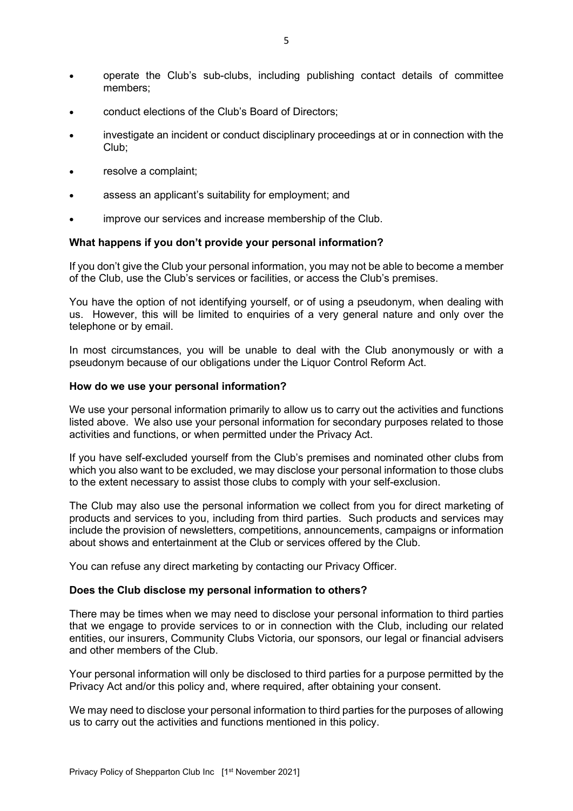- operate the Club's sub-clubs, including publishing contact details of committee members;
- conduct elections of the Club's Board of Directors;
- investigate an incident or conduct disciplinary proceedings at or in connection with the Club;
- resolve a complaint;
- assess an applicant's suitability for employment; and
- improve our services and increase membership of the Club.

### **What happens if you don't provide your personal information?**

If you don't give the Club your personal information, you may not be able to become a member of the Club, use the Club's services or facilities, or access the Club's premises.

You have the option of not identifying yourself, or of using a pseudonym, when dealing with us. However, this will be limited to enquiries of a very general nature and only over the telephone or by email.

In most circumstances, you will be unable to deal with the Club anonymously or with a pseudonym because of our obligations under the Liquor Control Reform Act.

#### **How do we use your personal information?**

We use your personal information primarily to allow us to carry out the activities and functions listed above. We also use your personal information for secondary purposes related to those activities and functions, or when permitted under the Privacy Act.

If you have self-excluded yourself from the Club's premises and nominated other clubs from which you also want to be excluded, we may disclose your personal information to those clubs to the extent necessary to assist those clubs to comply with your self-exclusion.

The Club may also use the personal information we collect from you for direct marketing of products and services to you, including from third parties. Such products and services may include the provision of newsletters, competitions, announcements, campaigns or information about shows and entertainment at the Club or services offered by the Club.

You can refuse any direct marketing by contacting our Privacy Officer.

### **Does the Club disclose my personal information to others?**

There may be times when we may need to disclose your personal information to third parties that we engage to provide services to or in connection with the Club, including our related entities, our insurers, Community Clubs Victoria, our sponsors, our legal or financial advisers and other members of the Club.

Your personal information will only be disclosed to third parties for a purpose permitted by the Privacy Act and/or this policy and, where required, after obtaining your consent.

We may need to disclose your personal information to third parties for the purposes of allowing us to carry out the activities and functions mentioned in this policy.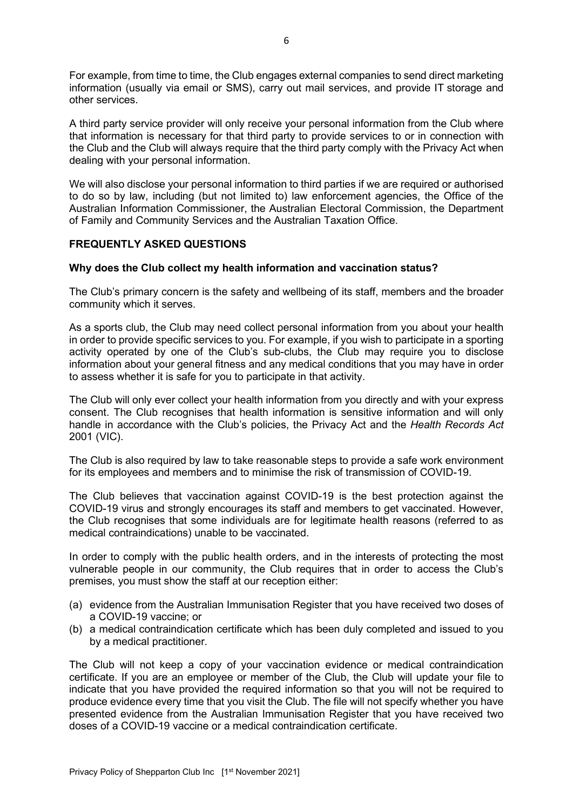For example, from time to time, the Club engages external companies to send direct marketing information (usually via email or SMS), carry out mail services, and provide IT storage and other services.

A third party service provider will only receive your personal information from the Club where that information is necessary for that third party to provide services to or in connection with the Club and the Club will always require that the third party comply with the Privacy Act when dealing with your personal information.

We will also disclose your personal information to third parties if we are required or authorised to do so by law, including (but not limited to) law enforcement agencies, the Office of the Australian Information Commissioner, the Australian Electoral Commission, the Department of Family and Community Services and the Australian Taxation Office.

# **FREQUENTLY ASKED QUESTIONS**

# **Why does the Club collect my health information and vaccination status?**

The Club's primary concern is the safety and wellbeing of its staff, members and the broader community which it serves.

As a sports club, the Club may need collect personal information from you about your health in order to provide specific services to you. For example, if you wish to participate in a sporting activity operated by one of the Club's sub-clubs, the Club may require you to disclose information about your general fitness and any medical conditions that you may have in order to assess whether it is safe for you to participate in that activity.

The Club will only ever collect your health information from you directly and with your express consent. The Club recognises that health information is sensitive information and will only handle in accordance with the Club's policies, the Privacy Act and the *Health Records Act*  2001 (VIC).

The Club is also required by law to take reasonable steps to provide a safe work environment for its employees and members and to minimise the risk of transmission of COVID-19.

The Club believes that vaccination against COVID-19 is the best protection against the COVID-19 virus and strongly encourages its staff and members to get vaccinated. However, the Club recognises that some individuals are for legitimate health reasons (referred to as medical contraindications) unable to be vaccinated.

In order to comply with the public health orders, and in the interests of protecting the most vulnerable people in our community, the Club requires that in order to access the Club's premises, you must show the staff at our reception either:

- (a) evidence from the Australian Immunisation Register that you have received two doses of a COVID-19 vaccine; or
- (b) a medical contraindication certificate which has been duly completed and issued to you by a medical practitioner.

The Club will not keep a copy of your vaccination evidence or medical contraindication certificate. If you are an employee or member of the Club, the Club will update your file to indicate that you have provided the required information so that you will not be required to produce evidence every time that you visit the Club. The file will not specify whether you have presented evidence from the Australian Immunisation Register that you have received two doses of a COVID-19 vaccine or a medical contraindication certificate.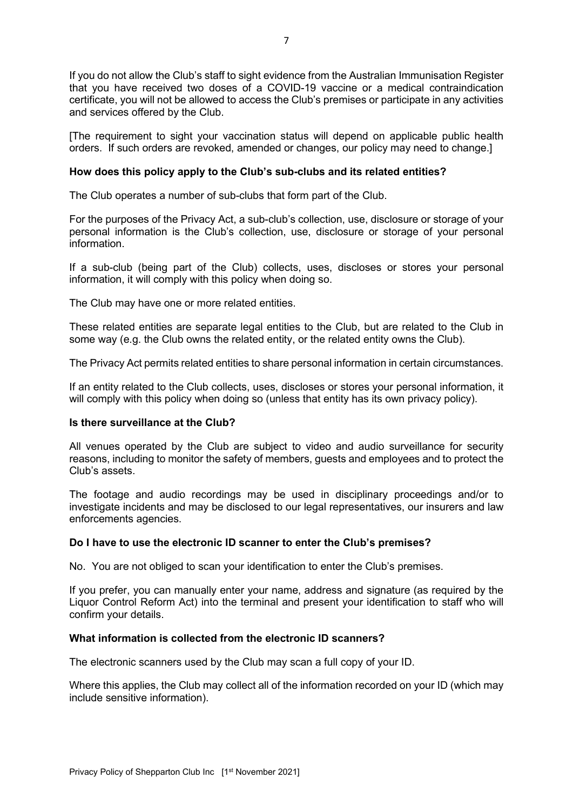If you do not allow the Club's staff to sight evidence from the Australian Immunisation Register that you have received two doses of a COVID-19 vaccine or a medical contraindication certificate, you will not be allowed to access the Club's premises or participate in any activities and services offered by the Club.

[The requirement to sight your vaccination status will depend on applicable public health orders. If such orders are revoked, amended or changes, our policy may need to change.]

### **How does this policy apply to the Club's sub-clubs and its related entities?**

The Club operates a number of sub-clubs that form part of the Club.

For the purposes of the Privacy Act, a sub-club's collection, use, disclosure or storage of your personal information is the Club's collection, use, disclosure or storage of your personal information.

If a sub-club (being part of the Club) collects, uses, discloses or stores your personal information, it will comply with this policy when doing so.

The Club may have one or more related entities.

These related entities are separate legal entities to the Club, but are related to the Club in some way (e.g. the Club owns the related entity, or the related entity owns the Club).

The Privacy Act permits related entities to share personal information in certain circumstances.

If an entity related to the Club collects, uses, discloses or stores your personal information, it will comply with this policy when doing so (unless that entity has its own privacy policy).

### **Is there surveillance at the Club?**

All venues operated by the Club are subject to video and audio surveillance for security reasons, including to monitor the safety of members, guests and employees and to protect the Club's assets.

The footage and audio recordings may be used in disciplinary proceedings and/or to investigate incidents and may be disclosed to our legal representatives, our insurers and law enforcements agencies.

### **Do I have to use the electronic ID scanner to enter the Club's premises?**

No. You are not obliged to scan your identification to enter the Club's premises.

If you prefer, you can manually enter your name, address and signature (as required by the Liquor Control Reform Act) into the terminal and present your identification to staff who will confirm your details.

### **What information is collected from the electronic ID scanners?**

The electronic scanners used by the Club may scan a full copy of your ID.

Where this applies, the Club may collect all of the information recorded on your ID (which may include sensitive information).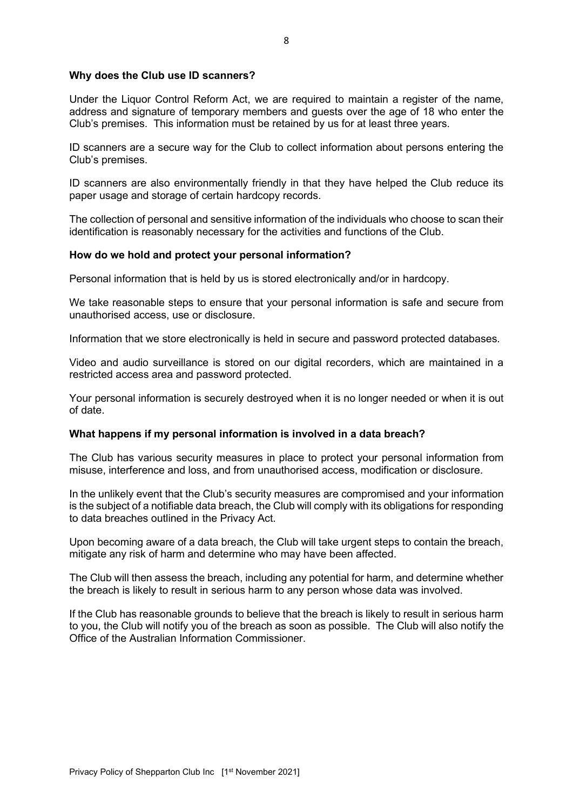## **Why does the Club use ID scanners?**

Under the Liquor Control Reform Act, we are required to maintain a register of the name, address and signature of temporary members and guests over the age of 18 who enter the Club's premises. This information must be retained by us for at least three years.

ID scanners are a secure way for the Club to collect information about persons entering the Club's premises.

ID scanners are also environmentally friendly in that they have helped the Club reduce its paper usage and storage of certain hardcopy records.

The collection of personal and sensitive information of the individuals who choose to scan their identification is reasonably necessary for the activities and functions of the Club.

### **How do we hold and protect your personal information?**

Personal information that is held by us is stored electronically and/or in hardcopy.

We take reasonable steps to ensure that your personal information is safe and secure from unauthorised access, use or disclosure.

Information that we store electronically is held in secure and password protected databases.

Video and audio surveillance is stored on our digital recorders, which are maintained in a restricted access area and password protected.

Your personal information is securely destroyed when it is no longer needed or when it is out of date.

### **What happens if my personal information is involved in a data breach?**

The Club has various security measures in place to protect your personal information from misuse, interference and loss, and from unauthorised access, modification or disclosure.

In the unlikely event that the Club's security measures are compromised and your information is the subject of a notifiable data breach, the Club will comply with its obligations for responding to data breaches outlined in the Privacy Act.

Upon becoming aware of a data breach, the Club will take urgent steps to contain the breach, mitigate any risk of harm and determine who may have been affected.

The Club will then assess the breach, including any potential for harm, and determine whether the breach is likely to result in serious harm to any person whose data was involved.

If the Club has reasonable grounds to believe that the breach is likely to result in serious harm to you, the Club will notify you of the breach as soon as possible. The Club will also notify the Office of the Australian Information Commissioner.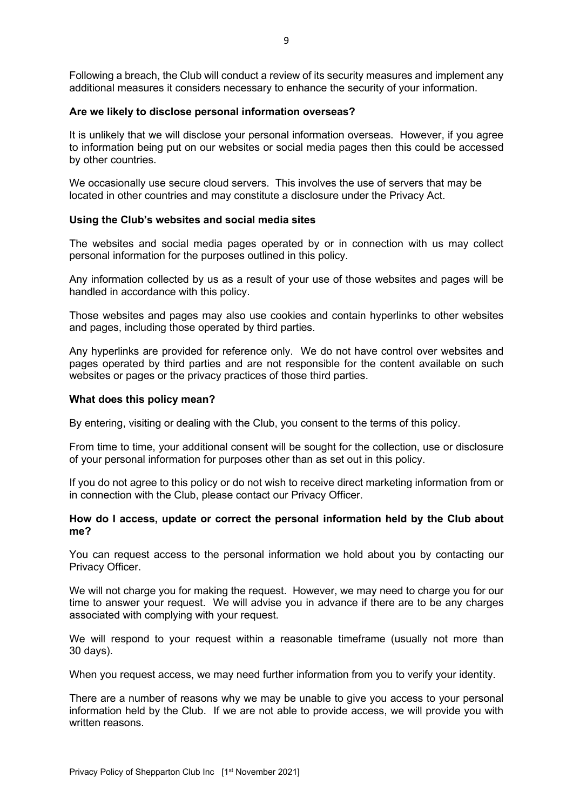Following a breach, the Club will conduct a review of its security measures and implement any additional measures it considers necessary to enhance the security of your information.

#### **Are we likely to disclose personal information overseas?**

It is unlikely that we will disclose your personal information overseas. However, if you agree to information being put on our websites or social media pages then this could be accessed by other countries.

We occasionally use secure cloud servers. This involves the use of servers that may be located in other countries and may constitute a disclosure under the Privacy Act.

#### **Using the Club's websites and social media sites**

The websites and social media pages operated by or in connection with us may collect personal information for the purposes outlined in this policy.

Any information collected by us as a result of your use of those websites and pages will be handled in accordance with this policy.

Those websites and pages may also use cookies and contain hyperlinks to other websites and pages, including those operated by third parties.

Any hyperlinks are provided for reference only. We do not have control over websites and pages operated by third parties and are not responsible for the content available on such websites or pages or the privacy practices of those third parties.

#### **What does this policy mean?**

By entering, visiting or dealing with the Club, you consent to the terms of this policy.

From time to time, your additional consent will be sought for the collection, use or disclosure of your personal information for purposes other than as set out in this policy.

If you do not agree to this policy or do not wish to receive direct marketing information from or in connection with the Club, please contact our Privacy Officer.

### **How do I access, update or correct the personal information held by the Club about me?**

You can request access to the personal information we hold about you by contacting our Privacy Officer.

We will not charge you for making the request. However, we may need to charge you for our time to answer your request. We will advise you in advance if there are to be any charges associated with complying with your request.

We will respond to your request within a reasonable timeframe (usually not more than 30 days).

When you request access, we may need further information from you to verify your identity.

There are a number of reasons why we may be unable to give you access to your personal information held by the Club. If we are not able to provide access, we will provide you with written reasons.